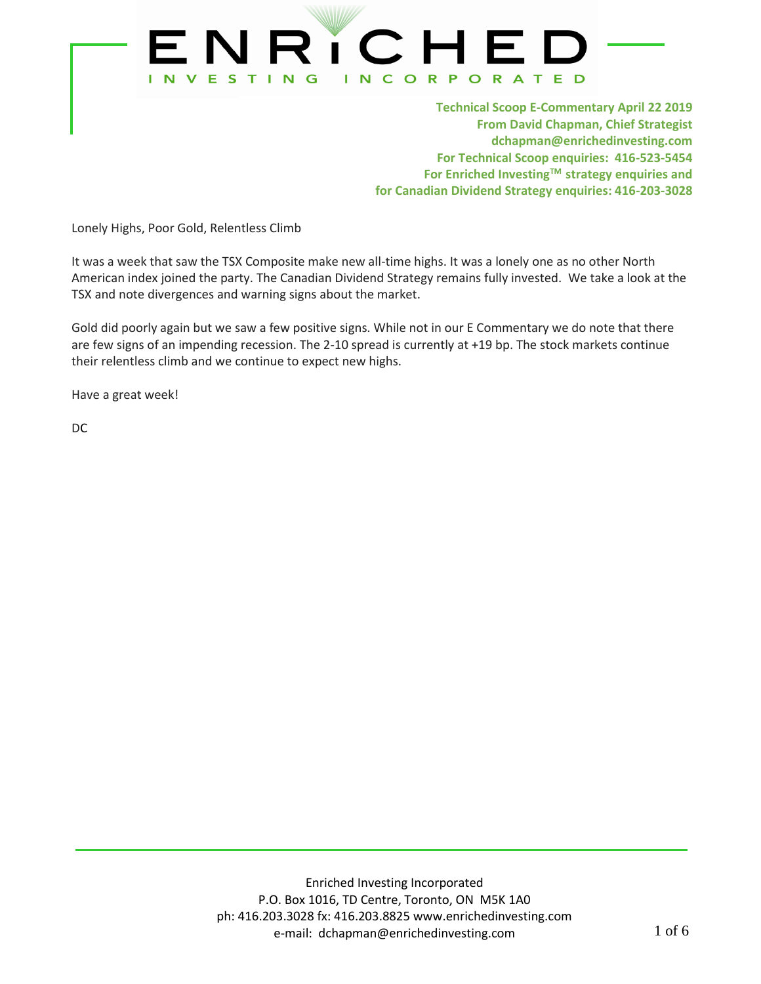

**Technical Scoop E-Commentary April 22 2019 From David Chapman, Chief Strategist dchapman@enrichedinvesting.com For Technical Scoop enquiries: 416-523-5454 For Enriched InvestingTM strategy enquiries and for Canadian Dividend Strategy enquiries: 416-203-3028**

Lonely Highs, Poor Gold, Relentless Climb

It was a week that saw the TSX Composite make new all-time highs. It was a lonely one as no other North American index joined the party. The Canadian Dividend Strategy remains fully invested. We take a look at the TSX and note divergences and warning signs about the market.

Gold did poorly again but we saw a few positive signs. While not in our E Commentary we do note that there are few signs of an impending recession. The 2-10 spread is currently at +19 bp. The stock markets continue their relentless climb and we continue to expect new highs.

Have a great week!

DC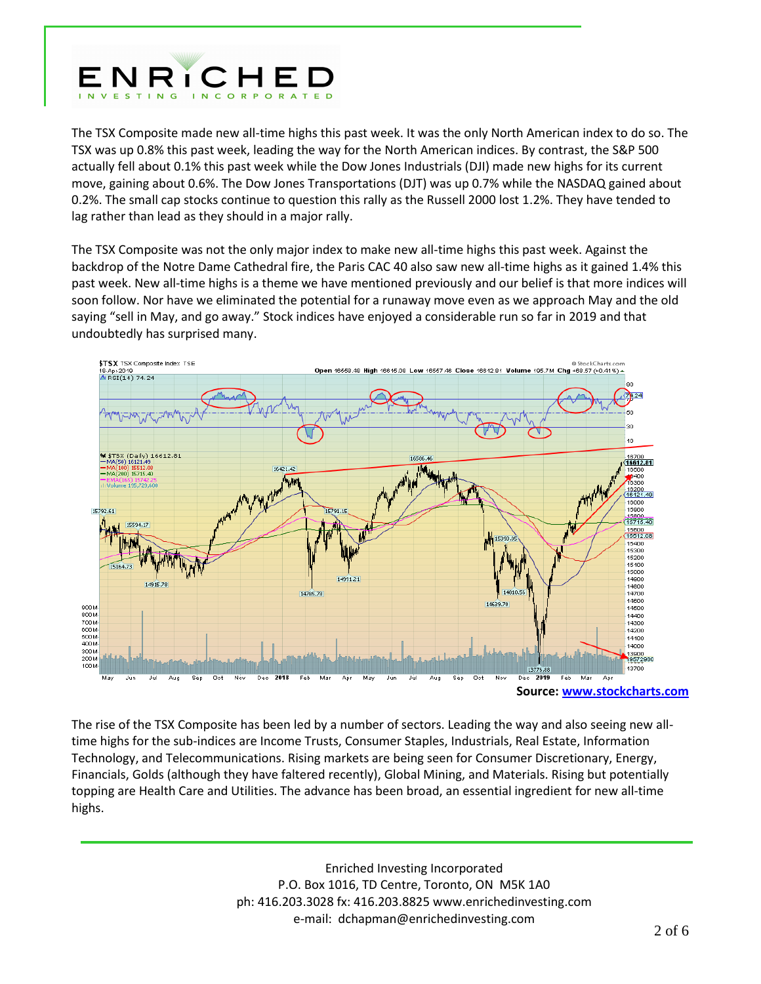

The TSX Composite made new all-time highs this past week. It was the only North American index to do so. The TSX was up 0.8% this past week, leading the way for the North American indices. By contrast, the S&P 500 actually fell about 0.1% this past week while the Dow Jones Industrials (DJI) made new highs for its current move, gaining about 0.6%. The Dow Jones Transportations (DJT) was up 0.7% while the NASDAQ gained about 0.2%. The small cap stocks continue to question this rally as the Russell 2000 lost 1.2%. They have tended to lag rather than lead as they should in a major rally.

The TSX Composite was not the only major index to make new all-time highs this past week. Against the backdrop of the Notre Dame Cathedral fire, the Paris CAC 40 also saw new all-time highs as it gained 1.4% this past week. New all-time highs is a theme we have mentioned previously and our belief is that more indices will soon follow. Nor have we eliminated the potential for a runaway move even as we approach May and the old saying "sell in May, and go away." Stock indices have enjoyed a considerable run so far in 2019 and that undoubtedly has surprised many.



The rise of the TSX Composite has been led by a number of sectors. Leading the way and also seeing new alltime highs for the sub-indices are Income Trusts, Consumer Staples, Industrials, Real Estate, Information Technology, and Telecommunications. Rising markets are being seen for Consumer Discretionary, Energy, Financials, Golds (although they have faltered recently), Global Mining, and Materials. Rising but potentially topping are Health Care and Utilities. The advance has been broad, an essential ingredient for new all-time highs.

> Enriched Investing Incorporated P.O. Box 1016, TD Centre, Toronto, ON M5K 1A0 ph: 416.203.3028 fx: 416.203.8825 www.enrichedinvesting.com e-mail: dchapman@enrichedinvesting.com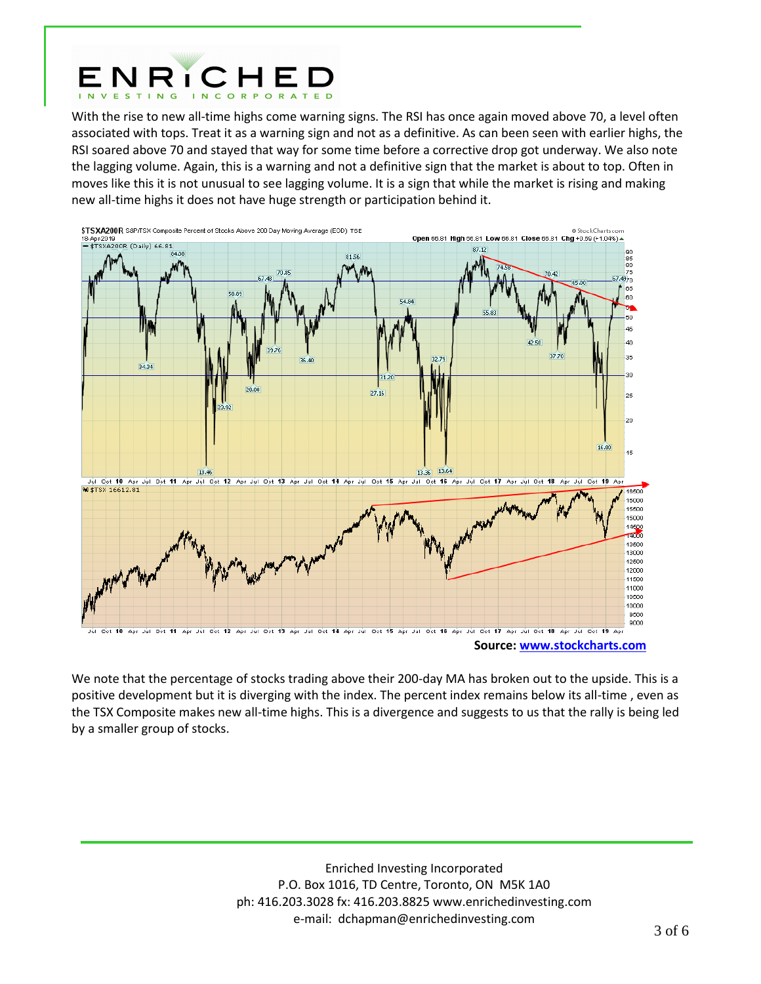

With the rise to new all-time highs come warning signs. The RSI has once again moved above 70, a level often associated with tops. Treat it as a warning sign and not as a definitive. As can been seen with earlier highs, the RSI soared above 70 and stayed that way for some time before a corrective drop got underway. We also note the lagging volume. Again, this is a warning and not a definitive sign that the market is about to top. Often in moves like this it is not unusual to see lagging volume. It is a sign that while the market is rising and making new all-time highs it does not have huge strength or participation behind it.



We note that the percentage of stocks trading above their 200-day MA has broken out to the upside. This is a positive development but it is diverging with the index. The percent index remains below its all-time , even as the TSX Composite makes new all-time highs. This is a divergence and suggests to us that the rally is being led by a smaller group of stocks.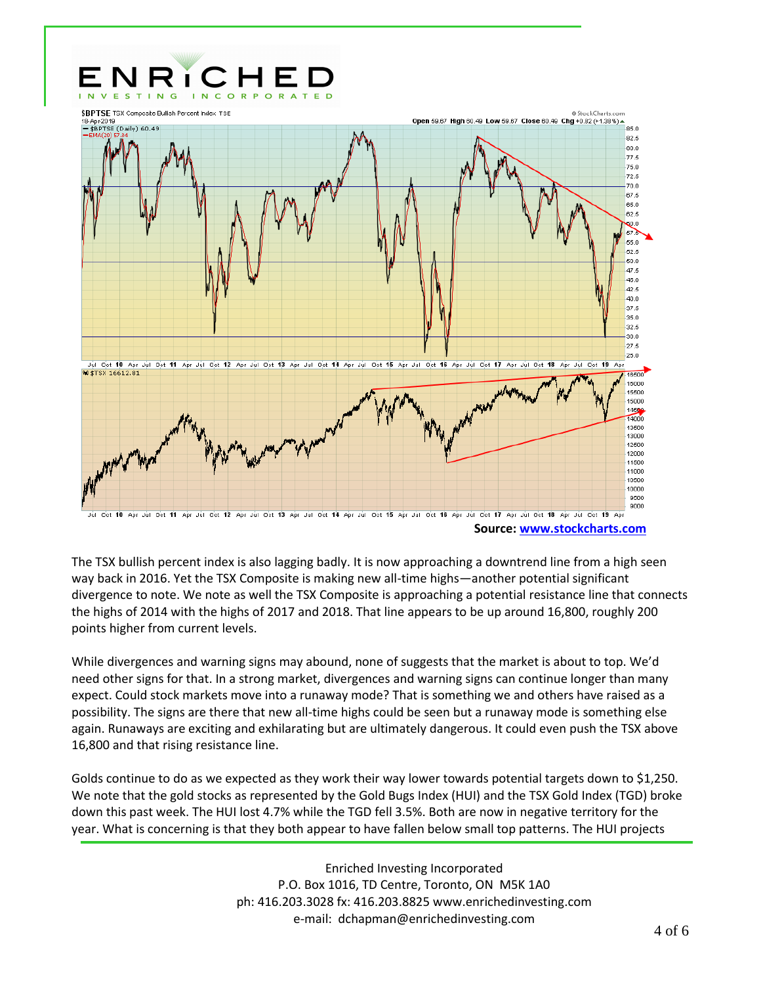

**Source: [www.stockcharts.com](http://www.stockcharts.com/)**

The TSX bullish percent index is also lagging badly. It is now approaching a downtrend line from a high seen way back in 2016. Yet the TSX Composite is making new all-time highs—another potential significant divergence to note. We note as well the TSX Composite is approaching a potential resistance line that connects the highs of 2014 with the highs of 2017 and 2018. That line appears to be up around 16,800, roughly 200 points higher from current levels.

While divergences and warning signs may abound, none of suggests that the market is about to top. We'd need other signs for that. In a strong market, divergences and warning signs can continue longer than many expect. Could stock markets move into a runaway mode? That is something we and others have raised as a possibility. The signs are there that new all-time highs could be seen but a runaway mode is something else again. Runaways are exciting and exhilarating but are ultimately dangerous. It could even push the TSX above 16,800 and that rising resistance line.

Golds continue to do as we expected as they work their way lower towards potential targets down to \$1,250. We note that the gold stocks as represented by the Gold Bugs Index (HUI) and the TSX Gold Index (TGD) broke down this past week. The HUI lost 4.7% while the TGD fell 3.5%. Both are now in negative territory for the year. What is concerning is that they both appear to have fallen below small top patterns. The HUI projects

> Enriched Investing Incorporated P.O. Box 1016, TD Centre, Toronto, ON M5K 1A0 ph: 416.203.3028 fx: 416.203.8825 www.enrichedinvesting.com e-mail: dchapman@enrichedinvesting.com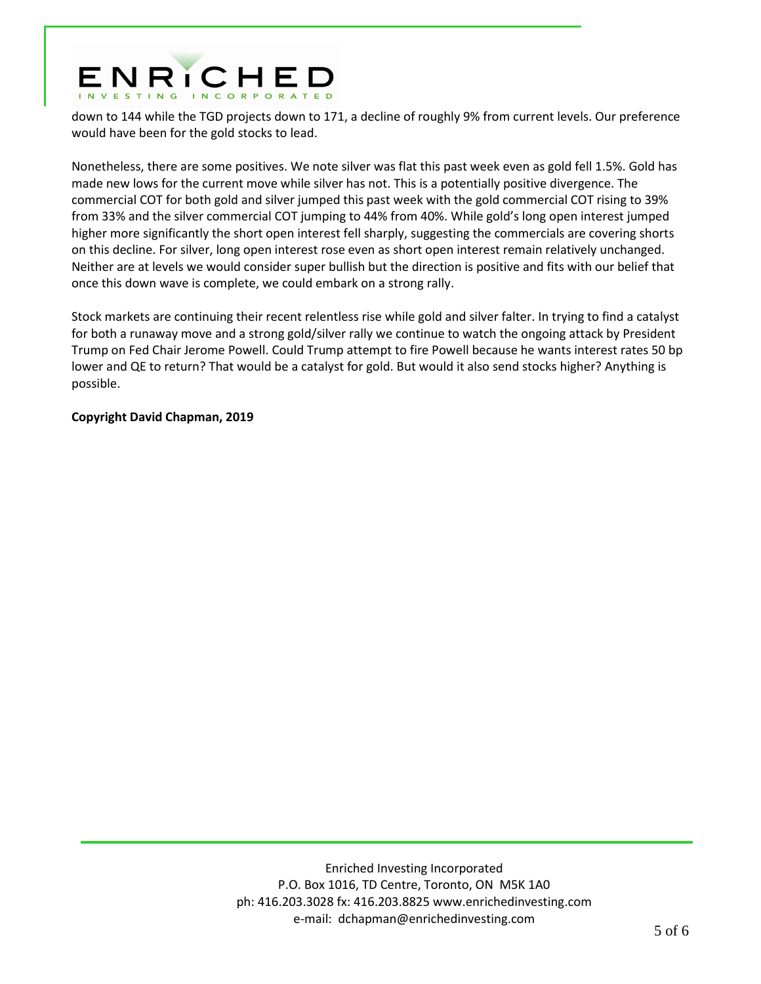# ENRICHED

down to 144 while the TGD projects down to 171, a decline of roughly 9% from current levels. Our preference would have been for the gold stocks to lead.

Nonetheless, there are some positives. We note silver was flat this past week even as gold fell 1.5%. Gold has made new lows for the current move while silver has not. This is a potentially positive divergence. The commercial COT for both gold and silver jumped this past week with the gold commercial COT rising to 39% from 33% and the silver commercial COT jumping to 44% from 40%. While gold's long open interest jumped higher more significantly the short open interest fell sharply, suggesting the commercials are covering shorts on this decline. For silver, long open interest rose even as short open interest remain relatively unchanged. Neither are at levels we would consider super bullish but the direction is positive and fits with our belief that once this down wave is complete, we could embark on a strong rally.

Stock markets are continuing their recent relentless rise while gold and silver falter. In trying to find a catalyst for both a runaway move and a strong gold/silver rally we continue to watch the ongoing attack by President Trump on Fed Chair Jerome Powell. Could Trump attempt to fire Powell because he wants interest rates 50 bp lower and QE to return? That would be a catalyst for gold. But would it also send stocks higher? Anything is possible.

## **Copyright David Chapman, 2019**